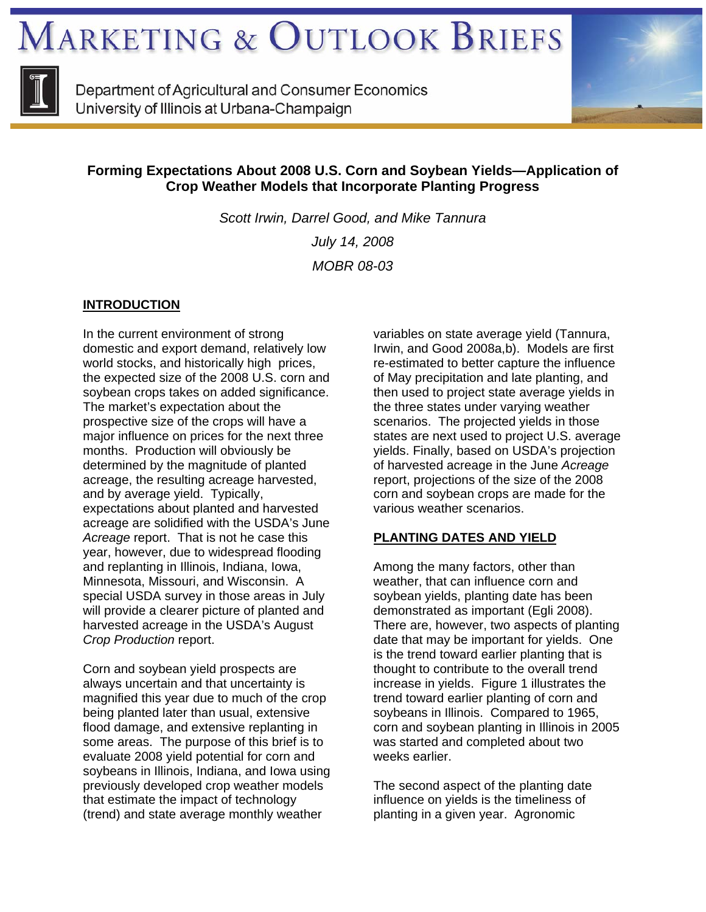**MARKETING & OUTLOOK BRIEFS** 



Department of Agricultural and Consumer Economics University of Illinois at Urbana-Champaign



# **Forming Expectations About 2008 U.S. Corn and Soybean Yields—Application of Crop Weather Models that Incorporate Planting Progress**

*Scott Irwin, Darrel Good, and Mike Tannura July 14, 2008 MOBR 08-03* 

# **INTRODUCTION**

In the current environment of strong domestic and export demand, relatively low world stocks, and historically high prices, the expected size of the 2008 U.S. corn and soybean crops takes on added significance. The market's expectation about the prospective size of the crops will have a major influence on prices for the next three months. Production will obviously be determined by the magnitude of planted acreage, the resulting acreage harvested, and by average yield. Typically, expectations about planted and harvested acreage are solidified with the USDA's June *Acreage* report. That is not he case this year, however, due to widespread flooding and replanting in Illinois, Indiana, Iowa, Minnesota, Missouri, and Wisconsin. A special USDA survey in those areas in July will provide a clearer picture of planted and harvested acreage in the USDA's August *Crop Production* report.

Corn and soybean yield prospects are always uncertain and that uncertainty is magnified this year due to much of the crop being planted later than usual, extensive flood damage, and extensive replanting in some areas. The purpose of this brief is to evaluate 2008 yield potential for corn and soybeans in Illinois, Indiana, and Iowa using previously developed crop weather models that estimate the impact of technology (trend) and state average monthly weather

variables on state average yield (Tannura, Irwin, and Good 2008a,b). Models are first re-estimated to better capture the influence of May precipitation and late planting, and then used to project state average yields in the three states under varying weather scenarios. The projected yields in those states are next used to project U.S. average yields. Finally, based on USDA's projection of harvested acreage in the June *Acreage* report, projections of the size of the 2008 corn and soybean crops are made for the various weather scenarios.

# **PLANTING DATES AND YIELD**

Among the many factors, other than weather, that can influence corn and soybean yields, planting date has been demonstrated as important (Egli 2008). There are, however, two aspects of planting date that may be important for yields. One is the trend toward earlier planting that is thought to contribute to the overall trend increase in yields. Figure 1 illustrates the trend toward earlier planting of corn and soybeans in Illinois. Compared to 1965, corn and soybean planting in Illinois in 2005 was started and completed about two weeks earlier.

The second aspect of the planting date influence on yields is the timeliness of planting in a given year. Agronomic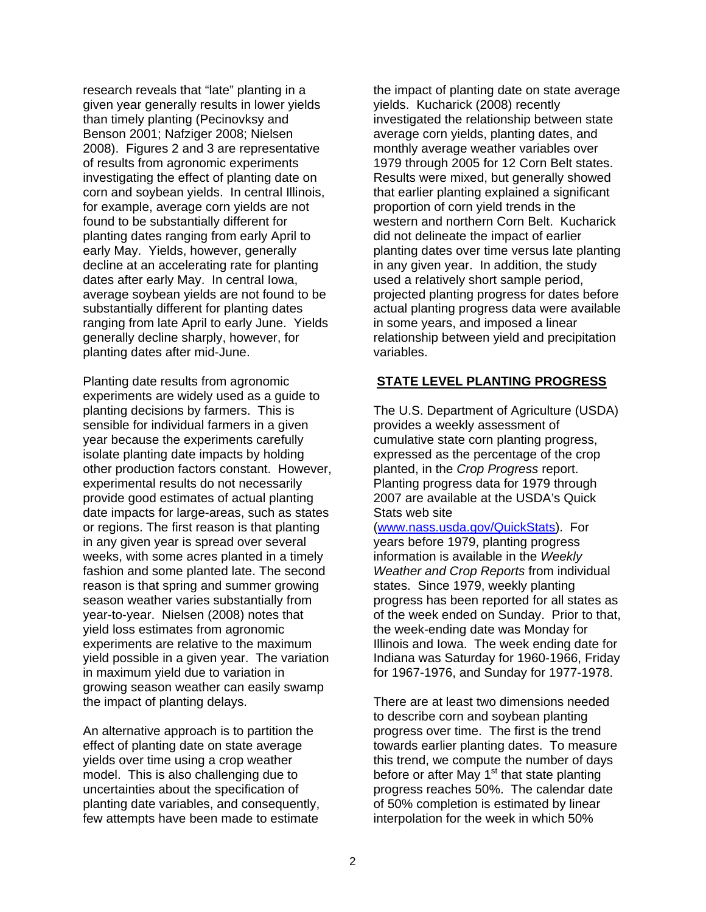research reveals that "late" planting in a given year generally results in lower yields than timely planting (Pecinovksy and Benson 2001; Nafziger 2008; Nielsen 2008). Figures 2 and 3 are representative of results from agronomic experiments investigating the effect of planting date on corn and soybean yields. In central Illinois, for example, average corn yields are not found to be substantially different for planting dates ranging from early April to early May. Yields, however, generally decline at an accelerating rate for planting dates after early May. In central Iowa, average soybean yields are not found to be substantially different for planting dates ranging from late April to early June. Yields generally decline sharply, however, for planting dates after mid-June.

Planting date results from agronomic experiments are widely used as a guide to planting decisions by farmers. This is sensible for individual farmers in a given year because the experiments carefully isolate planting date impacts by holding other production factors constant. However, experimental results do not necessarily provide good estimates of actual planting date impacts for large-areas, such as states or regions. The first reason is that planting in any given year is spread over several weeks, with some acres planted in a timely fashion and some planted late. The second reason is that spring and summer growing season weather varies substantially from year-to-year. Nielsen (2008) notes that yield loss estimates from agronomic experiments are relative to the maximum yield possible in a given year. The variation in maximum yield due to variation in growing season weather can easily swamp the impact of planting delays.

An alternative approach is to partition the effect of planting date on state average yields over time using a crop weather model. This is also challenging due to uncertainties about the specification of planting date variables, and consequently, few attempts have been made to estimate

the impact of planting date on state average yields. Kucharick (2008) recently investigated the relationship between state average corn yields, planting dates, and monthly average weather variables over 1979 through 2005 for 12 Corn Belt states. Results were mixed, but generally showed that earlier planting explained a significant proportion of corn yield trends in the western and northern Corn Belt. Kucharick did not delineate the impact of earlier planting dates over time versus late planting in any given year. In addition, the study used a relatively short sample period, projected planting progress for dates before actual planting progress data were available in some years, and imposed a linear relationship between yield and precipitation variables.

## **STATE LEVEL PLANTING PROGRESS**

The U.S. Department of Agriculture (USDA) provides a weekly assessment of cumulative state corn planting progress, expressed as the percentage of the crop planted, in the *Crop Progress* report. Planting progress data for 1979 through 2007 are available at the USDA's Quick Stats web site

(www.nass.usda.gov/QuickStats). For years before 1979, planting progress information is available in the *Weekly Weather and Crop Reports* from individual states. Since 1979, weekly planting progress has been reported for all states as of the week ended on Sunday. Prior to that, the week-ending date was Monday for Illinois and Iowa. The week ending date for Indiana was Saturday for 1960-1966, Friday for 1967-1976, and Sunday for 1977-1978.

There are at least two dimensions needed to describe corn and soybean planting progress over time. The first is the trend towards earlier planting dates. To measure this trend, we compute the number of days before or after May  $1<sup>st</sup>$  that state planting progress reaches 50%. The calendar date of 50% completion is estimated by linear interpolation for the week in which 50%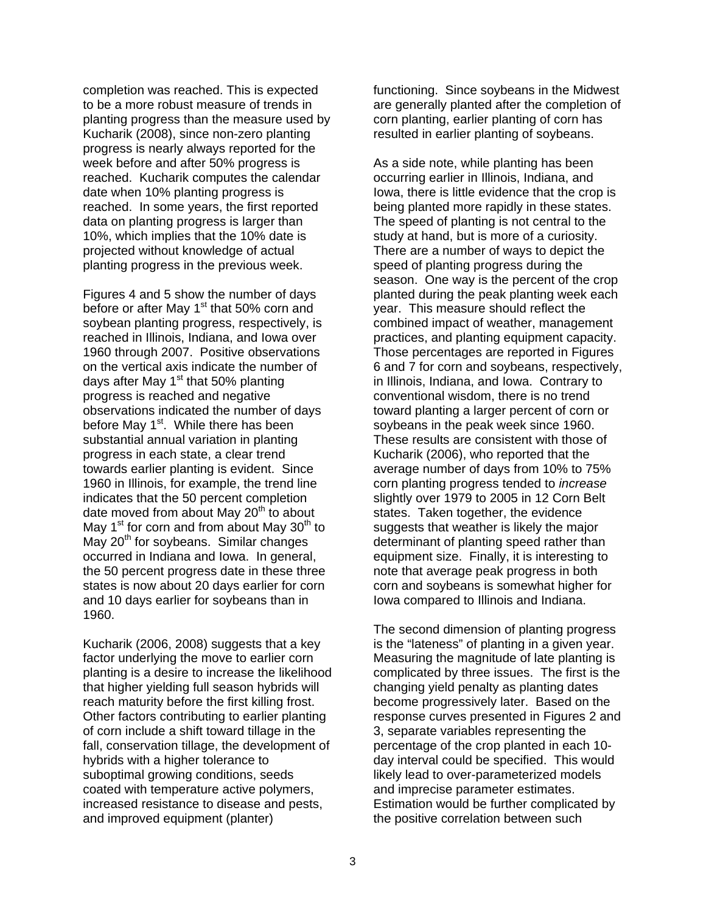completion was reached. This is expected to be a more robust measure of trends in planting progress than the measure used by Kucharik (2008), since non-zero planting progress is nearly always reported for the week before and after 50% progress is reached. Kucharik computes the calendar date when 10% planting progress is reached. In some years, the first reported data on planting progress is larger than 10%, which implies that the 10% date is projected without knowledge of actual planting progress in the previous week.

Figures 4 and 5 show the number of days before or after May 1<sup>st</sup> that 50% corn and soybean planting progress, respectively, is reached in Illinois, Indiana, and Iowa over 1960 through 2007. Positive observations on the vertical axis indicate the number of days after May  $1<sup>st</sup>$  that 50% planting progress is reached and negative observations indicated the number of days before May 1<sup>st</sup>. While there has been substantial annual variation in planting progress in each state, a clear trend towards earlier planting is evident. Since 1960 in Illinois, for example, the trend line indicates that the 50 percent completion date moved from about May  $20<sup>th</sup>$  to about May 1<sup>st</sup> for corn and from about May 30<sup>th</sup> to May  $20<sup>th</sup>$  for soybeans. Similar changes occurred in Indiana and Iowa. In general, the 50 percent progress date in these three states is now about 20 days earlier for corn and 10 days earlier for soybeans than in 1960.

Kucharik (2006, 2008) suggests that a key factor underlying the move to earlier corn planting is a desire to increase the likelihood that higher yielding full season hybrids will reach maturity before the first killing frost. Other factors contributing to earlier planting of corn include a shift toward tillage in the fall, conservation tillage, the development of hybrids with a higher tolerance to suboptimal growing conditions, seeds coated with temperature active polymers, increased resistance to disease and pests, and improved equipment (planter)

functioning. Since soybeans in the Midwest are generally planted after the completion of corn planting, earlier planting of corn has resulted in earlier planting of soybeans.

As a side note, while planting has been occurring earlier in Illinois, Indiana, and Iowa, there is little evidence that the crop is being planted more rapidly in these states. The speed of planting is not central to the study at hand, but is more of a curiosity. There are a number of ways to depict the speed of planting progress during the season. One way is the percent of the crop planted during the peak planting week each year. This measure should reflect the combined impact of weather, management practices, and planting equipment capacity. Those percentages are reported in Figures 6 and 7 for corn and soybeans, respectively, in Illinois, Indiana, and Iowa. Contrary to conventional wisdom, there is no trend toward planting a larger percent of corn or soybeans in the peak week since 1960. These results are consistent with those of Kucharik (2006), who reported that the average number of days from 10% to 75% corn planting progress tended to *increase* slightly over 1979 to 2005 in 12 Corn Belt states. Taken together, the evidence suggests that weather is likely the major determinant of planting speed rather than equipment size. Finally, it is interesting to note that average peak progress in both corn and soybeans is somewhat higher for Iowa compared to Illinois and Indiana.

The second dimension of planting progress is the "lateness" of planting in a given year. Measuring the magnitude of late planting is complicated by three issues. The first is the changing yield penalty as planting dates become progressively later. Based on the response curves presented in Figures 2 and 3, separate variables representing the percentage of the crop planted in each 10 day interval could be specified. This would likely lead to over-parameterized models and imprecise parameter estimates. Estimation would be further complicated by the positive correlation between such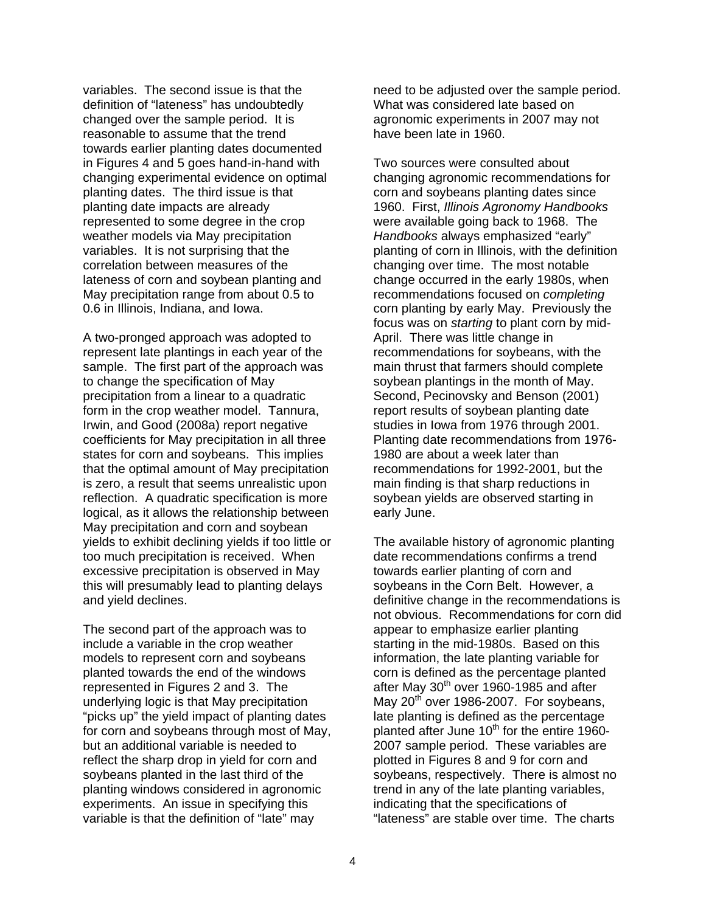variables. The second issue is that the definition of "lateness" has undoubtedly changed over the sample period. It is reasonable to assume that the trend towards earlier planting dates documented in Figures 4 and 5 goes hand-in-hand with changing experimental evidence on optimal planting dates. The third issue is that planting date impacts are already represented to some degree in the crop weather models via May precipitation variables. It is not surprising that the correlation between measures of the lateness of corn and soybean planting and May precipitation range from about 0.5 to 0.6 in Illinois, Indiana, and Iowa.

A two-pronged approach was adopted to represent late plantings in each year of the sample. The first part of the approach was to change the specification of May precipitation from a linear to a quadratic form in the crop weather model. Tannura, Irwin, and Good (2008a) report negative coefficients for May precipitation in all three states for corn and soybeans. This implies that the optimal amount of May precipitation is zero, a result that seems unrealistic upon reflection. A quadratic specification is more logical, as it allows the relationship between May precipitation and corn and soybean yields to exhibit declining yields if too little or too much precipitation is received. When excessive precipitation is observed in May this will presumably lead to planting delays and yield declines.

The second part of the approach was to include a variable in the crop weather models to represent corn and soybeans planted towards the end of the windows represented in Figures 2 and 3. The underlying logic is that May precipitation "picks up" the yield impact of planting dates for corn and soybeans through most of May, but an additional variable is needed to reflect the sharp drop in yield for corn and soybeans planted in the last third of the planting windows considered in agronomic experiments. An issue in specifying this variable is that the definition of "late" may

need to be adjusted over the sample period. What was considered late based on agronomic experiments in 2007 may not have been late in 1960.

Two sources were consulted about changing agronomic recommendations for corn and soybeans planting dates since 1960. First, *Illinois Agronomy Handbooks* were available going back to 1968. The *Handbooks* always emphasized "early" planting of corn in Illinois, with the definition changing over time. The most notable change occurred in the early 1980s, when recommendations focused on *completing* corn planting by early May. Previously the focus was on *starting* to plant corn by mid-April. There was little change in recommendations for soybeans, with the main thrust that farmers should complete soybean plantings in the month of May. Second, Pecinovsky and Benson (2001) report results of soybean planting date studies in Iowa from 1976 through 2001. Planting date recommendations from 1976- 1980 are about a week later than recommendations for 1992-2001, but the main finding is that sharp reductions in soybean yields are observed starting in early June.

The available history of agronomic planting date recommendations confirms a trend towards earlier planting of corn and soybeans in the Corn Belt. However, a definitive change in the recommendations is not obvious. Recommendations for corn did appear to emphasize earlier planting starting in the mid-1980s. Based on this information, the late planting variable for corn is defined as the percentage planted after May 30<sup>th</sup> over 1960-1985 and after May  $20<sup>th</sup>$  over 1986-2007. For soybeans, late planting is defined as the percentage planted after June  $10<sup>th</sup>$  for the entire 1960-2007 sample period. These variables are plotted in Figures 8 and 9 for corn and soybeans, respectively. There is almost no trend in any of the late planting variables, indicating that the specifications of "lateness" are stable over time. The charts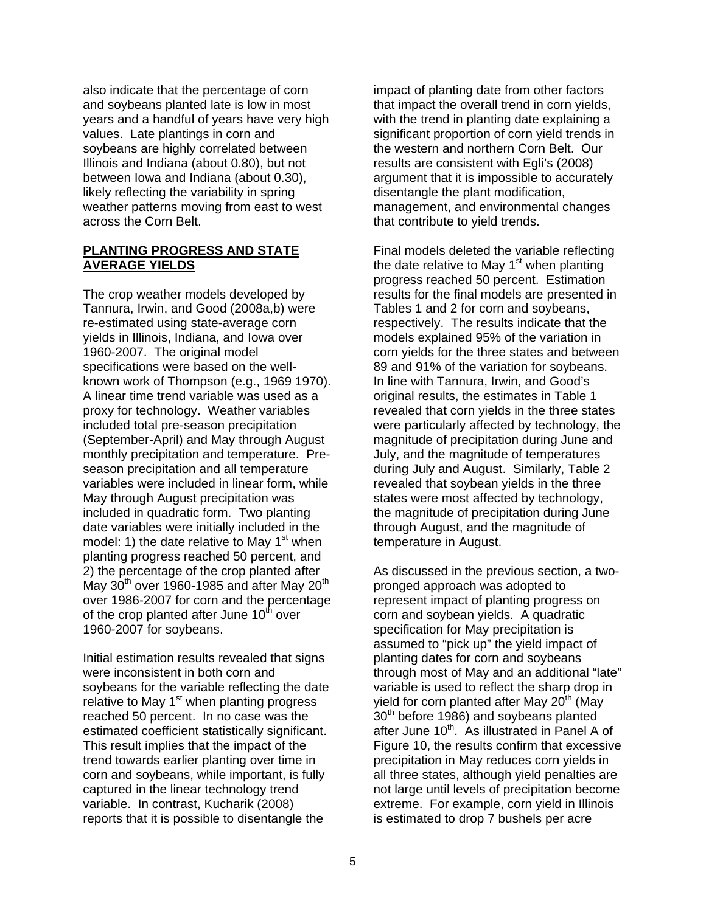also indicate that the percentage of corn and soybeans planted late is low in most years and a handful of years have very high values. Late plantings in corn and soybeans are highly correlated between Illinois and Indiana (about 0.80), but not between Iowa and Indiana (about 0.30), likely reflecting the variability in spring weather patterns moving from east to west across the Corn Belt.

### **PLANTING PROGRESS AND STATE AVERAGE YIELDS**

The crop weather models developed by Tannura, Irwin, and Good (2008a,b) were re-estimated using state-average corn yields in Illinois, Indiana, and Iowa over 1960-2007. The original model specifications were based on the wellknown work of Thompson (e.g., 1969 1970). A linear time trend variable was used as a proxy for technology. Weather variables included total pre-season precipitation (September-April) and May through August monthly precipitation and temperature. Preseason precipitation and all temperature variables were included in linear form, while May through August precipitation was included in quadratic form. Two planting date variables were initially included in the model: 1) the date relative to May  $1<sup>st</sup>$  when planting progress reached 50 percent, and 2) the percentage of the crop planted after May  $30<sup>th</sup>$  over 1960-1985 and after May  $20<sup>th</sup>$ over 1986-2007 for corn and the percentage of the crop planted after June  $10<sup>th</sup>$  over 1960-2007 for soybeans.

Initial estimation results revealed that signs were inconsistent in both corn and soybeans for the variable reflecting the date relative to May  $1<sup>st</sup>$  when planting progress reached 50 percent. In no case was the estimated coefficient statistically significant. This result implies that the impact of the trend towards earlier planting over time in corn and soybeans, while important, is fully captured in the linear technology trend variable. In contrast, Kucharik (2008) reports that it is possible to disentangle the

impact of planting date from other factors that impact the overall trend in corn yields, with the trend in planting date explaining a significant proportion of corn yield trends in the western and northern Corn Belt. Our results are consistent with Egli's (2008) argument that it is impossible to accurately disentangle the plant modification, management, and environmental changes that contribute to yield trends.

Final models deleted the variable reflecting the date relative to May  $1<sup>st</sup>$  when planting progress reached 50 percent. Estimation results for the final models are presented in Tables 1 and 2 for corn and soybeans, respectively. The results indicate that the models explained 95% of the variation in corn yields for the three states and between 89 and 91% of the variation for soybeans. In line with Tannura, Irwin, and Good's original results, the estimates in Table 1 revealed that corn yields in the three states were particularly affected by technology, the magnitude of precipitation during June and July, and the magnitude of temperatures during July and August. Similarly, Table 2 revealed that soybean yields in the three states were most affected by technology, the magnitude of precipitation during June through August, and the magnitude of temperature in August.

As discussed in the previous section, a twopronged approach was adopted to represent impact of planting progress on corn and soybean yields. A quadratic specification for May precipitation is assumed to "pick up" the yield impact of planting dates for corn and soybeans through most of May and an additional "late" variable is used to reflect the sharp drop in yield for corn planted after May  $20<sup>th</sup>$  (May 30<sup>th</sup> before 1986) and soybeans planted after June 10<sup>th</sup>. As illustrated in Panel A of Figure 10, the results confirm that excessive precipitation in May reduces corn yields in all three states, although yield penalties are not large until levels of precipitation become extreme. For example, corn yield in Illinois is estimated to drop 7 bushels per acre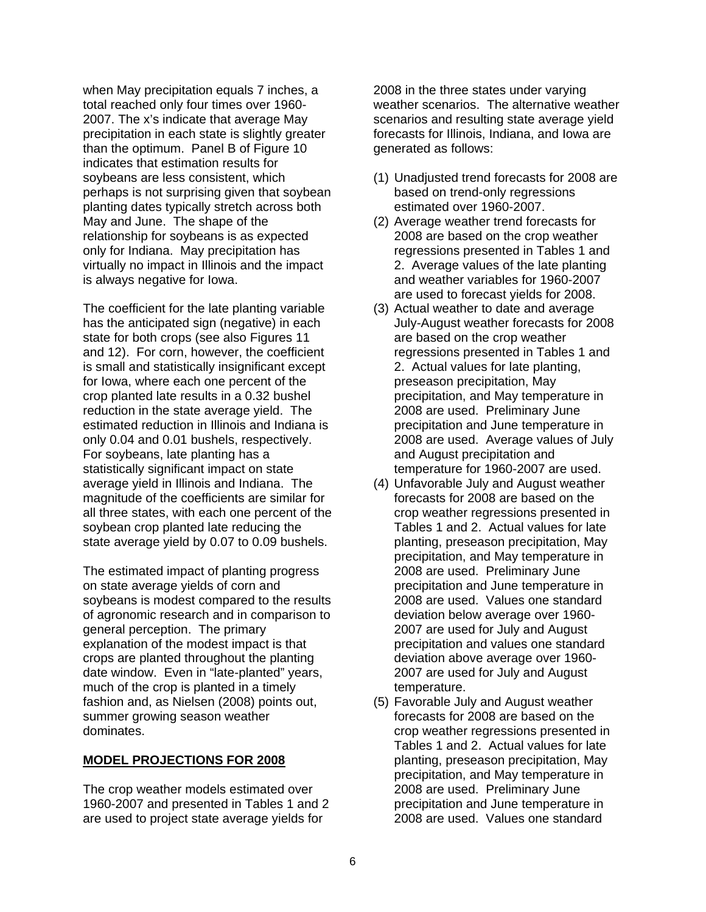when May precipitation equals 7 inches, a total reached only four times over 1960- 2007. The x's indicate that average May precipitation in each state is slightly greater than the optimum. Panel B of Figure 10 indicates that estimation results for soybeans are less consistent, which perhaps is not surprising given that soybean planting dates typically stretch across both May and June. The shape of the relationship for soybeans is as expected only for Indiana. May precipitation has virtually no impact in Illinois and the impact is always negative for Iowa.

The coefficient for the late planting variable has the anticipated sign (negative) in each state for both crops (see also Figures 11 and 12). For corn, however, the coefficient is small and statistically insignificant except for Iowa, where each one percent of the crop planted late results in a 0.32 bushel reduction in the state average yield. The estimated reduction in Illinois and Indiana is only 0.04 and 0.01 bushels, respectively. For soybeans, late planting has a statistically significant impact on state average yield in Illinois and Indiana. The magnitude of the coefficients are similar for all three states, with each one percent of the soybean crop planted late reducing the state average yield by 0.07 to 0.09 bushels.

The estimated impact of planting progress on state average yields of corn and soybeans is modest compared to the results of agronomic research and in comparison to general perception. The primary explanation of the modest impact is that crops are planted throughout the planting date window. Even in "late-planted" years, much of the crop is planted in a timely fashion and, as Nielsen (2008) points out, summer growing season weather dominates.

#### **MODEL PROJECTIONS FOR 2008**

The crop weather models estimated over 1960-2007 and presented in Tables 1 and 2 are used to project state average yields for

2008 in the three states under varying weather scenarios. The alternative weather scenarios and resulting state average yield forecasts for Illinois, Indiana, and Iowa are generated as follows:

- (1) Unadjusted trend forecasts for 2008 are based on trend-only regressions estimated over 1960-2007.
- (2) Average weather trend forecasts for 2008 are based on the crop weather regressions presented in Tables 1 and 2. Average values of the late planting and weather variables for 1960-2007 are used to forecast yields for 2008.
- (3) Actual weather to date and average July-August weather forecasts for 2008 are based on the crop weather regressions presented in Tables 1 and 2. Actual values for late planting, preseason precipitation, May precipitation, and May temperature in 2008 are used. Preliminary June precipitation and June temperature in 2008 are used. Average values of July and August precipitation and temperature for 1960-2007 are used.
- (4) Unfavorable July and August weather forecasts for 2008 are based on the crop weather regressions presented in Tables 1 and 2. Actual values for late planting, preseason precipitation, May precipitation, and May temperature in 2008 are used. Preliminary June precipitation and June temperature in 2008 are used. Values one standard deviation below average over 1960- 2007 are used for July and August precipitation and values one standard deviation above average over 1960- 2007 are used for July and August temperature.
- (5) Favorable July and August weather forecasts for 2008 are based on the crop weather regressions presented in Tables 1 and 2. Actual values for late planting, preseason precipitation, May precipitation, and May temperature in 2008 are used. Preliminary June precipitation and June temperature in 2008 are used. Values one standard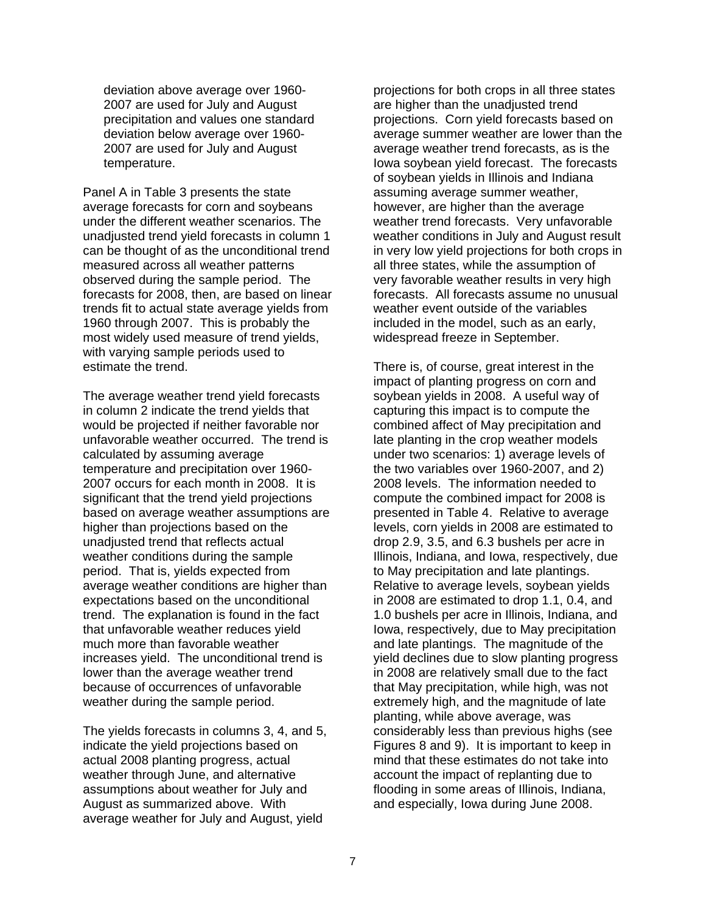deviation above average over 1960- 2007 are used for July and August precipitation and values one standard deviation below average over 1960- 2007 are used for July and August temperature.

Panel A in Table 3 presents the state average forecasts for corn and soybeans under the different weather scenarios. The unadjusted trend yield forecasts in column 1 can be thought of as the unconditional trend measured across all weather patterns observed during the sample period. The forecasts for 2008, then, are based on linear trends fit to actual state average yields from 1960 through 2007. This is probably the most widely used measure of trend yields, with varying sample periods used to estimate the trend.

The average weather trend yield forecasts in column 2 indicate the trend yields that would be projected if neither favorable nor unfavorable weather occurred. The trend is calculated by assuming average temperature and precipitation over 1960- 2007 occurs for each month in 2008. It is significant that the trend vield projections based on average weather assumptions are higher than projections based on the unadjusted trend that reflects actual weather conditions during the sample period. That is, yields expected from average weather conditions are higher than expectations based on the unconditional trend. The explanation is found in the fact that unfavorable weather reduces yield much more than favorable weather increases yield. The unconditional trend is lower than the average weather trend because of occurrences of unfavorable weather during the sample period.

The yields forecasts in columns 3, 4, and 5, indicate the yield projections based on actual 2008 planting progress, actual weather through June, and alternative assumptions about weather for July and August as summarized above. With average weather for July and August, yield

projections for both crops in all three states are higher than the unadjusted trend projections. Corn yield forecasts based on average summer weather are lower than the average weather trend forecasts, as is the Iowa soybean yield forecast. The forecasts of soybean yields in Illinois and Indiana assuming average summer weather, however, are higher than the average weather trend forecasts. Very unfavorable weather conditions in July and August result in very low yield projections for both crops in all three states, while the assumption of very favorable weather results in very high forecasts. All forecasts assume no unusual weather event outside of the variables included in the model, such as an early, widespread freeze in September.

There is, of course, great interest in the impact of planting progress on corn and soybean yields in 2008. A useful way of capturing this impact is to compute the combined affect of May precipitation and late planting in the crop weather models under two scenarios: 1) average levels of the two variables over 1960-2007, and 2) 2008 levels. The information needed to compute the combined impact for 2008 is presented in Table 4. Relative to average levels, corn yields in 2008 are estimated to drop 2.9, 3.5, and 6.3 bushels per acre in Illinois, Indiana, and Iowa, respectively, due to May precipitation and late plantings. Relative to average levels, soybean yields in 2008 are estimated to drop 1.1, 0.4, and 1.0 bushels per acre in Illinois, Indiana, and Iowa, respectively, due to May precipitation and late plantings. The magnitude of the yield declines due to slow planting progress in 2008 are relatively small due to the fact that May precipitation, while high, was not extremely high, and the magnitude of late planting, while above average, was considerably less than previous highs (see Figures 8 and 9). It is important to keep in mind that these estimates do not take into account the impact of replanting due to flooding in some areas of Illinois, Indiana, and especially, Iowa during June 2008.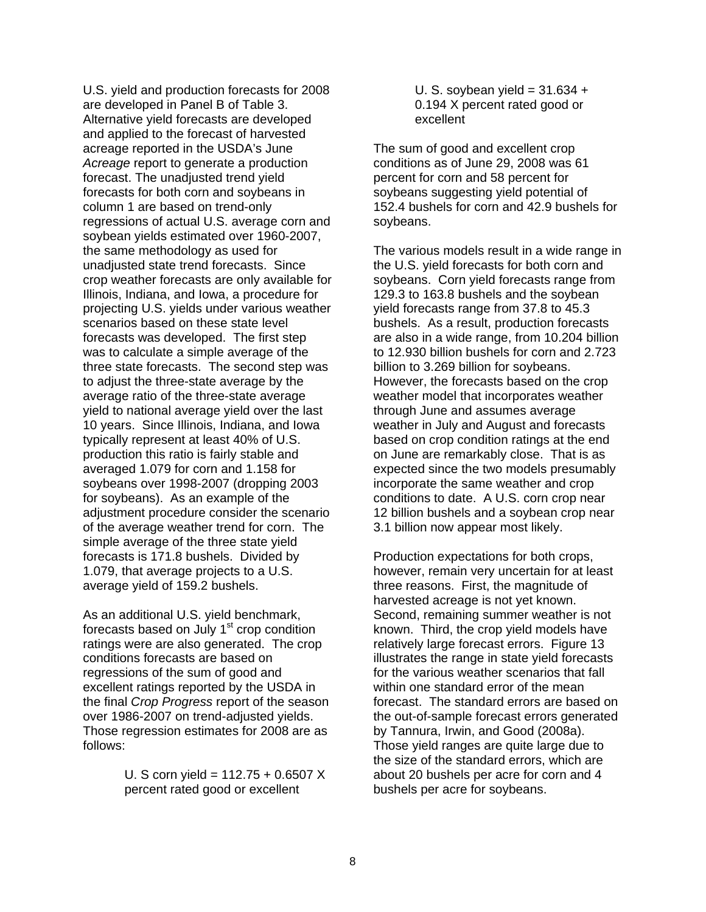U.S. yield and production forecasts for 2008 are developed in Panel B of Table 3. Alternative yield forecasts are developed and applied to the forecast of harvested acreage reported in the USDA's June *Acreage* report to generate a production forecast. The unadjusted trend yield forecasts for both corn and soybeans in column 1 are based on trend-only regressions of actual U.S. average corn and soybean yields estimated over 1960-2007, the same methodology as used for unadjusted state trend forecasts. Since crop weather forecasts are only available for Illinois, Indiana, and Iowa, a procedure for projecting U.S. yields under various weather scenarios based on these state level forecasts was developed. The first step was to calculate a simple average of the three state forecasts. The second step was to adjust the three-state average by the average ratio of the three-state average yield to national average yield over the last 10 years. Since Illinois, Indiana, and Iowa typically represent at least 40% of U.S. production this ratio is fairly stable and averaged 1.079 for corn and 1.158 for soybeans over 1998-2007 (dropping 2003 for soybeans). As an example of the adjustment procedure consider the scenario of the average weather trend for corn. The simple average of the three state yield forecasts is 171.8 bushels. Divided by 1.079, that average projects to a U.S. average yield of 159.2 bushels.

As an additional U.S. yield benchmark, forecasts based on July  $1<sup>st</sup>$  crop condition ratings were are also generated. The crop conditions forecasts are based on regressions of the sum of good and excellent ratings reported by the USDA in the final *Crop Progress* report of the season over 1986-2007 on trend-adjusted yields. Those regression estimates for 2008 are as follows:

> U. S corn yield = 112.75 + 0.6507 X percent rated good or excellent

U. S. soybean yield =  $31.634 +$ 0.194 X percent rated good or excellent

The sum of good and excellent crop conditions as of June 29, 2008 was 61 percent for corn and 58 percent for soybeans suggesting yield potential of 152.4 bushels for corn and 42.9 bushels for soybeans.

The various models result in a wide range in the U.S. yield forecasts for both corn and soybeans. Corn yield forecasts range from 129.3 to 163.8 bushels and the soybean yield forecasts range from 37.8 to 45.3 bushels. As a result, production forecasts are also in a wide range, from 10.204 billion to 12.930 billion bushels for corn and 2.723 billion to 3.269 billion for soybeans. However, the forecasts based on the crop weather model that incorporates weather through June and assumes average weather in July and August and forecasts based on crop condition ratings at the end on June are remarkably close. That is as expected since the two models presumably incorporate the same weather and crop conditions to date. A U.S. corn crop near 12 billion bushels and a soybean crop near 3.1 billion now appear most likely.

Production expectations for both crops, however, remain very uncertain for at least three reasons. First, the magnitude of harvested acreage is not yet known. Second, remaining summer weather is not known. Third, the crop yield models have relatively large forecast errors. Figure 13 illustrates the range in state yield forecasts for the various weather scenarios that fall within one standard error of the mean forecast. The standard errors are based on the out-of-sample forecast errors generated by Tannura, Irwin, and Good (2008a). Those yield ranges are quite large due to the size of the standard errors, which are about 20 bushels per acre for corn and 4 bushels per acre for soybeans.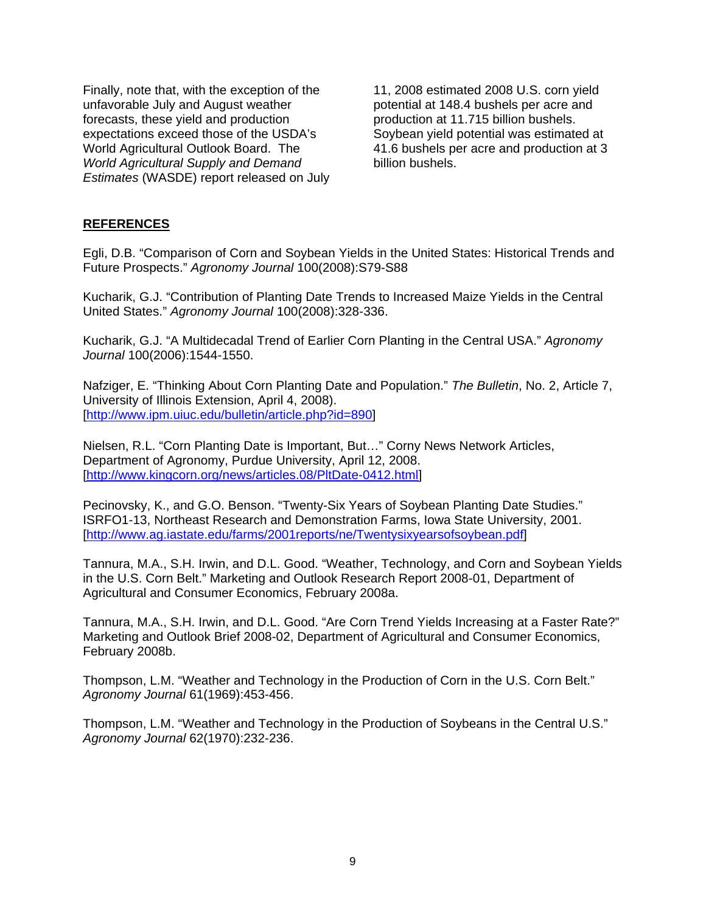Finally, note that, with the exception of the unfavorable July and August weather forecasts, these yield and production expectations exceed those of the USDA's World Agricultural Outlook Board. The *World Agricultural Supply and Demand Estimates* (WASDE) report released on July

11, 2008 estimated 2008 U.S. corn yield potential at 148.4 bushels per acre and production at 11.715 billion bushels. Soybean yield potential was estimated at 41.6 bushels per acre and production at 3 billion bushels.

## **REFERENCES**

Egli, D.B. "Comparison of Corn and Soybean Yields in the United States: Historical Trends and Future Prospects." *Agronomy Journal* 100(2008):S79-S88

Kucharik, G.J. "Contribution of Planting Date Trends to Increased Maize Yields in the Central United States." *Agronomy Journal* 100(2008):328-336.

Kucharik, G.J. "A Multidecadal Trend of Earlier Corn Planting in the Central USA." *Agronomy Journal* 100(2006):1544-1550.

Nafziger, E. "Thinking About Corn Planting Date and Population." *The Bulletin*, No. 2, Article 7, University of Illinois Extension, April 4, 2008). [http://www.ipm.uiuc.edu/bulletin/article.php?id=890]

Nielsen, R.L. "Corn Planting Date is Important, But…" Corny News Network Articles, Department of Agronomy, Purdue University, April 12, 2008. [http://www.kingcorn.org/news/articles.08/PltDate-0412.html]

Pecinovsky, K., and G.O. Benson. "Twenty-Six Years of Soybean Planting Date Studies." ISRFO1-13, Northeast Research and Demonstration Farms, Iowa State University, 2001. [http://www.ag.iastate.edu/farms/2001reports/ne/Twentysixyearsofsoybean.pdf]

Tannura, M.A., S.H. Irwin, and D.L. Good. "Weather, Technology, and Corn and Soybean Yields in the U.S. Corn Belt." Marketing and Outlook Research Report 2008-01, Department of Agricultural and Consumer Economics, February 2008a.

Tannura, M.A., S.H. Irwin, and D.L. Good. "Are Corn Trend Yields Increasing at a Faster Rate?" Marketing and Outlook Brief 2008-02, Department of Agricultural and Consumer Economics, February 2008b.

Thompson, L.M. "Weather and Technology in the Production of Corn in the U.S. Corn Belt." *Agronomy Journal* 61(1969):453-456.

Thompson, L.M. "Weather and Technology in the Production of Soybeans in the Central U.S." *Agronomy Journal* 62(1970):232-236.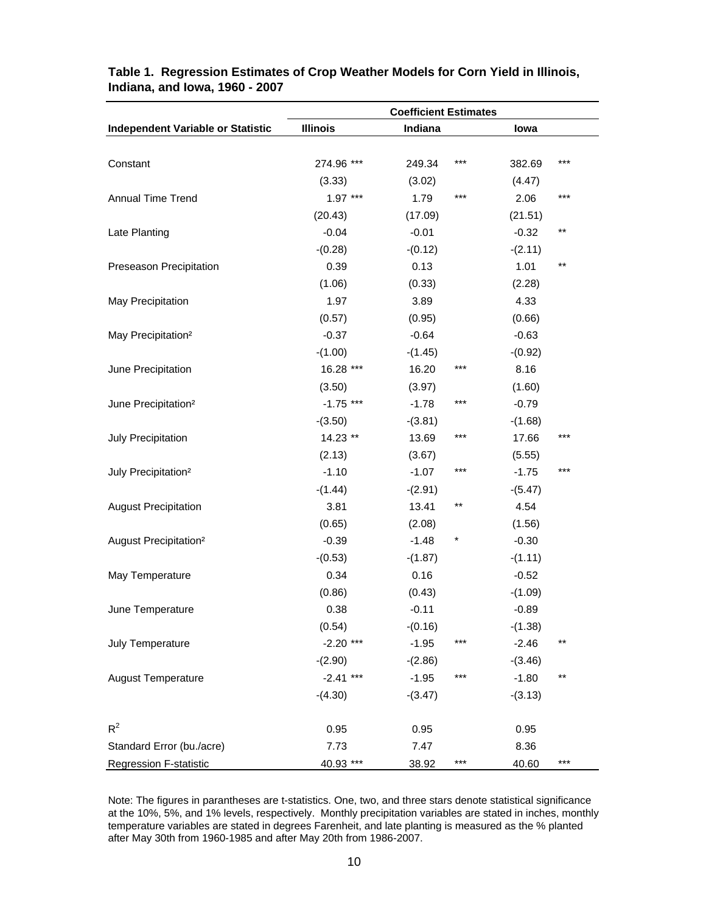|                                          | <b>Coefficient Estimates</b> |                   |                      |  |  |  |
|------------------------------------------|------------------------------|-------------------|----------------------|--|--|--|
| <b>Independent Variable or Statistic</b> | <b>Illinois</b>              | Indiana           | lowa                 |  |  |  |
|                                          |                              |                   |                      |  |  |  |
| Constant                                 | 274.96 ***                   | $***$<br>249.34   | $***$<br>382.69      |  |  |  |
|                                          | (3.33)                       | (3.02)            | (4.47)               |  |  |  |
| Annual Time Trend                        | $1.97***$                    | 1.79<br>$***$     | $***$<br>2.06        |  |  |  |
|                                          | (20.43)                      | (17.09)           | (21.51)              |  |  |  |
| Late Planting                            | $-0.04$                      | $-0.01$           | $***$<br>$-0.32$     |  |  |  |
|                                          | $-(0.28)$                    | $-(0.12)$         | $-(2.11)$            |  |  |  |
| Preseason Precipitation                  | 0.39                         | 0.13              | $\star\star$<br>1.01 |  |  |  |
|                                          | (1.06)                       | (0.33)            | (2.28)               |  |  |  |
| May Precipitation                        | 1.97                         | 3.89              | 4.33                 |  |  |  |
|                                          | (0.57)                       | (0.95)            | (0.66)               |  |  |  |
| May Precipitation <sup>2</sup>           | $-0.37$                      | $-0.64$           | $-0.63$              |  |  |  |
|                                          | $-(1.00)$                    | $-(1.45)$         | $-(0.92)$            |  |  |  |
| June Precipitation                       | 16.28 ***                    | 16.20<br>***      | 8.16                 |  |  |  |
|                                          | (3.50)                       | (3.97)            | (1.60)               |  |  |  |
| June Precipitation <sup>2</sup>          | $-1.75$ ***                  | $***$<br>$-1.78$  | $-0.79$              |  |  |  |
|                                          | $-(3.50)$                    | $-(3.81)$         | $-(1.68)$            |  |  |  |
| July Precipitation                       | 14.23 **                     | 13.69<br>***      | ***<br>17.66         |  |  |  |
|                                          | (2.13)                       | (3.67)            | (5.55)               |  |  |  |
| July Precipitation <sup>2</sup>          | $-1.10$                      | $***$<br>$-1.07$  | $***$<br>$-1.75$     |  |  |  |
|                                          | $-(1.44)$                    | $-(2.91)$         | $-(5.47)$            |  |  |  |
| <b>August Precipitation</b>              | 3.81                         | 13.41<br>$***$    | 4.54                 |  |  |  |
|                                          | (0.65)                       | (2.08)            | (1.56)               |  |  |  |
| August Precipitation <sup>2</sup>        | $-0.39$                      | $\ast$<br>$-1.48$ | $-0.30$              |  |  |  |
|                                          | $-(0.53)$                    | $-(1.87)$         | $-(1.11)$            |  |  |  |
| May Temperature                          | 0.34                         | 0.16              | $-0.52$              |  |  |  |
|                                          | (0.86)                       | (0.43)            | $-(1.09)$            |  |  |  |
| June Temperature                         | 0.38                         | $-0.11$           | $-0.89$              |  |  |  |
|                                          | (0.54)                       | $-(0.16)$         | $-(1.38)$            |  |  |  |
| July Temperature                         | $-2.20$ ***                  | $-1.95$<br>$***$  | $-2.46$<br>$***$     |  |  |  |
|                                          | $-(2.90)$                    | $-(2.86)$         | $-(3.46)$            |  |  |  |
| <b>August Temperature</b>                | $-2.41$ ***                  | $***$<br>$-1.95$  | $***$<br>$-1.80$     |  |  |  |
|                                          | $-(4.30)$                    | $-(3.47)$         | $-(3.13)$            |  |  |  |
| $R^2$                                    | 0.95                         | 0.95              | 0.95                 |  |  |  |
| Standard Error (bu./acre)                | 7.73                         | 7.47              | 8.36                 |  |  |  |
| <b>Regression F-statistic</b>            | 40.93 ***                    | $***$<br>38.92    | $***$<br>40.60       |  |  |  |

## **Table 1. Regression Estimates of Crop Weather Models for Corn Yield in Illinois, Indiana, and Iowa, 1960 - 2007**

Note: The figures in parantheses are t-statistics. One, two, and three stars denote statistical significance at the 10%, 5%, and 1% levels, respectively. Monthly precipitation variables are stated in inches, monthly temperature variables are stated in degrees Farenheit, and late planting is measured as the % planted after May 30th from 1960-1985 and after May 20th from 1986-2007.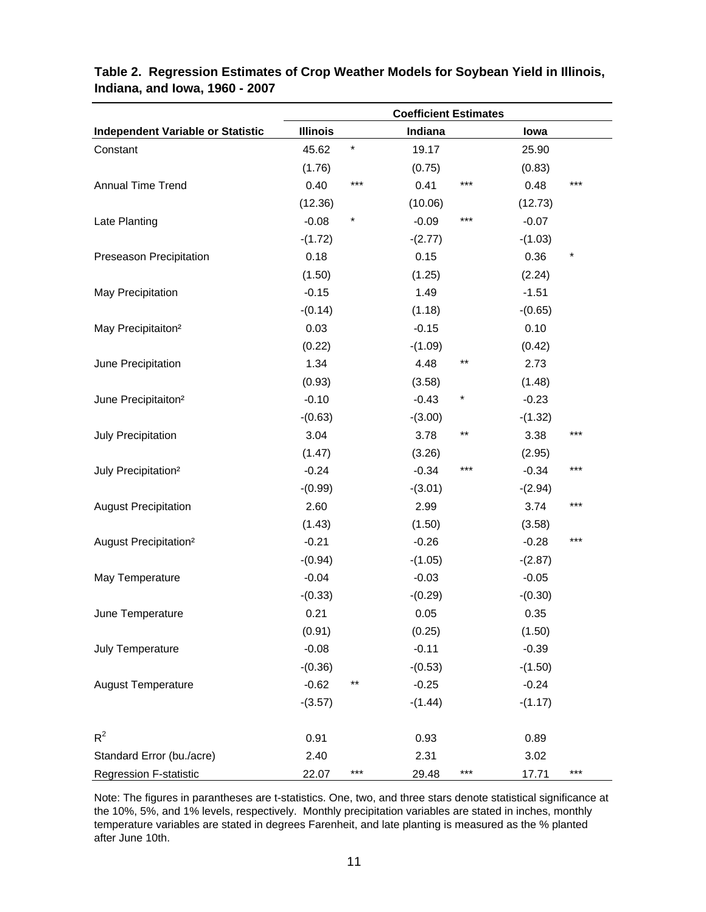|                                          | <b>Coefficient Estimates</b> |            |           |       |           |     |
|------------------------------------------|------------------------------|------------|-----------|-------|-----------|-----|
| <b>Independent Variable or Statistic</b> | <b>Illinois</b>              |            | Indiana   |       | lowa      |     |
| Constant                                 | 45.62                        | $^{\star}$ | 19.17     |       | 25.90     |     |
|                                          | (1.76)                       |            | (0.75)    |       | (0.83)    |     |
| Annual Time Trend                        | 0.40                         | ***        | 0.41      | ***   | 0.48      | *** |
|                                          | (12.36)                      |            | (10.06)   |       | (12.73)   |     |
| Late Planting                            | $-0.08$                      | $^{\star}$ | $-0.09$   | ***   | $-0.07$   |     |
|                                          | $-(1.72)$                    |            | $-(2.77)$ |       | $-(1.03)$ |     |
| Preseason Precipitation                  | 0.18                         |            | 0.15      |       | 0.36      | *   |
|                                          | (1.50)                       |            | (1.25)    |       | (2.24)    |     |
| May Precipitation                        | $-0.15$                      |            | 1.49      |       | $-1.51$   |     |
|                                          | $-(0.14)$                    |            | (1.18)    |       | $-(0.65)$ |     |
| May Precipitaiton <sup>2</sup>           | 0.03                         |            | $-0.15$   |       | 0.10      |     |
|                                          | (0.22)                       |            | $-(1.09)$ |       | (0.42)    |     |
| June Precipitation                       | 1.34                         |            | 4.48      | $***$ | 2.73      |     |
|                                          | (0.93)                       |            | (3.58)    |       | (1.48)    |     |
| June Precipitaiton <sup>2</sup>          | $-0.10$                      |            | $-0.43$   | *     | $-0.23$   |     |
|                                          | $-(0.63)$                    |            | $-(3.00)$ |       | $-(1.32)$ |     |
| July Precipitation                       | 3.04                         |            | 3.78      | $***$ | 3.38      | *** |
|                                          | (1.47)                       |            | (3.26)    |       | (2.95)    |     |
| July Precipitation <sup>2</sup>          | $-0.24$                      |            | $-0.34$   | ***   | $-0.34$   | *** |
|                                          | $-(0.99)$                    |            | $-(3.01)$ |       | $-(2.94)$ |     |
| <b>August Precipitation</b>              | 2.60                         |            | 2.99      |       | 3.74      | *** |
|                                          | (1.43)                       |            | (1.50)    |       | (3.58)    |     |
| August Precipitation <sup>2</sup>        | $-0.21$                      |            | $-0.26$   |       | $-0.28$   | *** |
|                                          | $-(0.94)$                    |            | $-(1.05)$ |       | $-(2.87)$ |     |
| May Temperature                          | $-0.04$                      |            | $-0.03$   |       | $-0.05$   |     |
|                                          | $-(0.33)$                    |            | $-(0.29)$ |       | $-(0.30)$ |     |
| June Temperature                         | 0.21                         |            | 0.05      |       | 0.35      |     |
|                                          | (0.91)                       |            | (0.25)    |       | (1.50)    |     |
| July Temperature                         | $-0.08$                      |            | $-0.11$   |       | $-0.39$   |     |
|                                          | $-(0.36)$                    |            | $-(0.53)$ |       | $-(1.50)$ |     |
| <b>August Temperature</b>                | $-0.62$                      | **         | $-0.25$   |       | $-0.24$   |     |
|                                          | $-(3.57)$                    |            | $-(1.44)$ |       | $-(1.17)$ |     |
| $R^2$                                    | 0.91                         |            | 0.93      |       | 0.89      |     |
| Standard Error (bu./acre)                | 2.40                         |            | 2.31      |       | 3.02      |     |
| <b>Regression F-statistic</b>            | 22.07                        | ***        | 29.48     | ***   | 17.71     | *** |

# **Table 2. Regression Estimates of Crop Weather Models for Soybean Yield in Illinois, Indiana, and Iowa, 1960 - 2007**

Note: The figures in parantheses are t-statistics. One, two, and three stars denote statistical significance at the 10%, 5%, and 1% levels, respectively. Monthly precipitation variables are stated in inches, monthly temperature variables are stated in degrees Farenheit, and late planting is measured as the % planted after June 10th.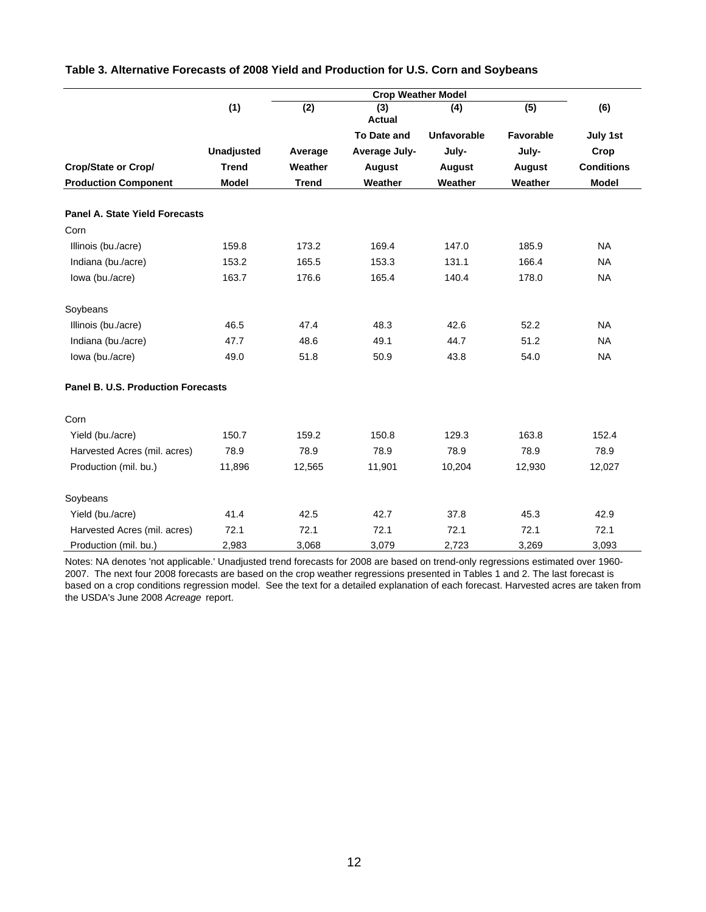|                                           | (1)               | $\overline{(2)}$ | <b>Crop Weather Model</b><br>(3)<br><b>Actual</b> | (4)                | (5)              | (6)               |
|-------------------------------------------|-------------------|------------------|---------------------------------------------------|--------------------|------------------|-------------------|
|                                           |                   |                  | <b>To Date and</b>                                | <b>Unfavorable</b> | <b>Favorable</b> | July 1st          |
|                                           | <b>Unadjusted</b> | Average          | Average July-                                     | July-              | July-            | Crop              |
| Crop/State or Crop/                       | <b>Trend</b>      | Weather          | August                                            | <b>August</b>      | <b>August</b>    | <b>Conditions</b> |
| <b>Production Component</b>               | <b>Model</b>      | <b>Trend</b>     | Weather                                           | Weather            | Weather          | <b>Model</b>      |
| <b>Panel A. State Yield Forecasts</b>     |                   |                  |                                                   |                    |                  |                   |
| Corn                                      |                   |                  |                                                   |                    |                  |                   |
| Illinois (bu./acre)                       | 159.8             | 173.2            | 169.4                                             | 147.0              | 185.9            | <b>NA</b>         |
| Indiana (bu./acre)                        | 153.2             | 165.5            | 153.3                                             | 131.1              | 166.4            | <b>NA</b>         |
| lowa (bu./acre)                           | 163.7             | 176.6            | 165.4                                             | 140.4              | 178.0            | <b>NA</b>         |
| Soybeans                                  |                   |                  |                                                   |                    |                  |                   |
| Illinois (bu./acre)                       | 46.5              | 47.4             | 48.3                                              | 42.6               | 52.2             | <b>NA</b>         |
| Indiana (bu./acre)                        | 47.7              | 48.6             | 49.1                                              | 44.7               | 51.2             | <b>NA</b>         |
| lowa (bu./acre)                           | 49.0              | 51.8             | 50.9                                              | 43.8               | 54.0             | <b>NA</b>         |
| <b>Panel B. U.S. Production Forecasts</b> |                   |                  |                                                   |                    |                  |                   |
| Corn                                      |                   |                  |                                                   |                    |                  |                   |
| Yield (bu./acre)                          | 150.7             | 159.2            | 150.8                                             | 129.3              | 163.8            | 152.4             |
| Harvested Acres (mil. acres)              | 78.9              | 78.9             | 78.9                                              | 78.9               | 78.9             | 78.9              |
| Production (mil. bu.)                     | 11,896            | 12,565           | 11,901                                            | 10,204             | 12,930           | 12,027            |
| Soybeans                                  |                   |                  |                                                   |                    |                  |                   |
| Yield (bu./acre)                          | 41.4              | 42.5             | 42.7                                              | 37.8               | 45.3             | 42.9              |
| Harvested Acres (mil. acres)              | 72.1              | 72.1             | 72.1                                              | 72.1               | 72.1             | 72.1              |
| Production (mil. bu.)                     | 2,983             | 3,068            | 3,079                                             | 2,723              | 3,269            | 3,093             |

#### **Table 3. Alternative Forecasts of 2008 Yield and Production for U.S. Corn and Soybeans**

Notes: NA denotes 'not applicable.' Unadjusted trend forecasts for 2008 are based on trend-only regressions estimated over 1960- 2007. The next four 2008 forecasts are based on the crop weather regressions presented in Tables 1 and 2. The last forecast is based on a crop conditions regression model. See the text for a detailed explanation of each forecast. Harvested acres are taken from the USDA's June 2008 *Acreage* report.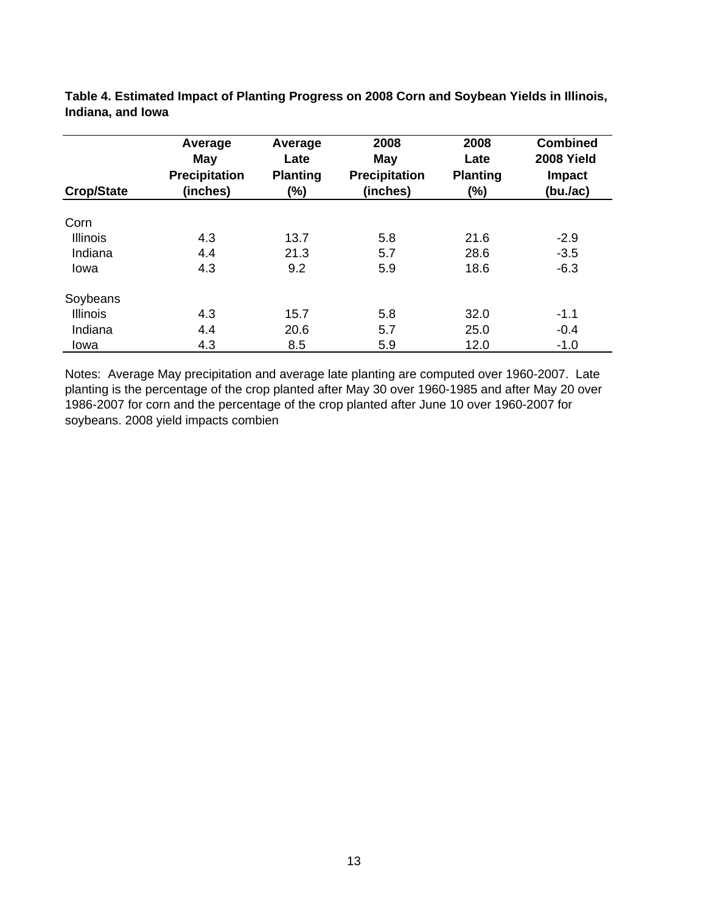|                   | Average<br>May       | Average<br>Late | 2008<br>May          | 2008<br>Late    | <b>Combined</b><br>2008 Yield |
|-------------------|----------------------|-----------------|----------------------|-----------------|-------------------------------|
|                   | <b>Precipitation</b> | <b>Planting</b> | <b>Precipitation</b> | <b>Planting</b> | <b>Impact</b>                 |
| <b>Crop/State</b> | (inches)             | (%)             | (inches)             | $(\%)$          | (bu./ac)                      |
| Corn              |                      |                 |                      |                 |                               |
| <b>Illinois</b>   | 4.3                  | 13.7            | 5.8                  | 21.6            | $-2.9$                        |
| Indiana           | 4.4                  | 21.3            | 5.7                  | 28.6            | $-3.5$                        |
| Iowa              | 4.3                  | 9.2             | 5.9                  | 18.6            | $-6.3$                        |
| Soybeans          |                      |                 |                      |                 |                               |
| <b>Illinois</b>   | 4.3                  | 15.7            | 5.8                  | 32.0            | $-1.1$                        |
| Indiana           | 4.4                  | 20.6            | 5.7                  | 25.0            | $-0.4$                        |
| Iowa              | 4.3                  | 8.5             | 5.9                  | 12.0            | $-1.0$                        |

**Table 4. Estimated Impact of Planting Progress on 2008 Corn and Soybean Yields in Illinois, Indiana, and Iowa**

Notes: Average May precipitation and average late planting are computed over 1960-2007. Late planting is the percentage of the crop planted after May 30 over 1960-1985 and after May 20 over 1986-2007 for corn and the percentage of the crop planted after June 10 over 1960-2007 for soybeans. 2008 yield impacts combien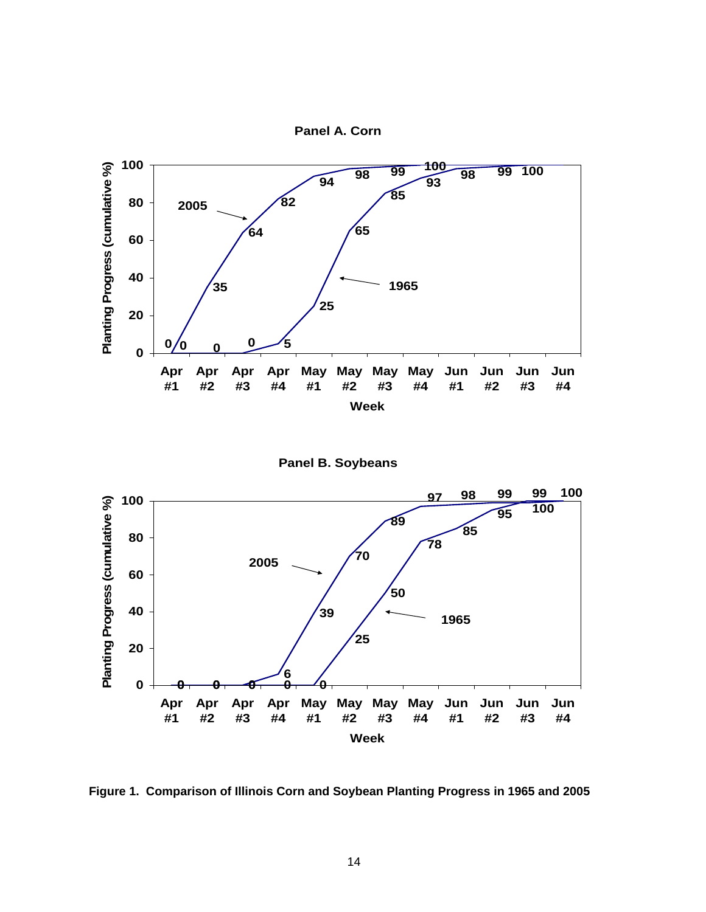







**Figure 1. Comparison of Illinois Corn and Soybean Planting Progress in 1965 and 2005**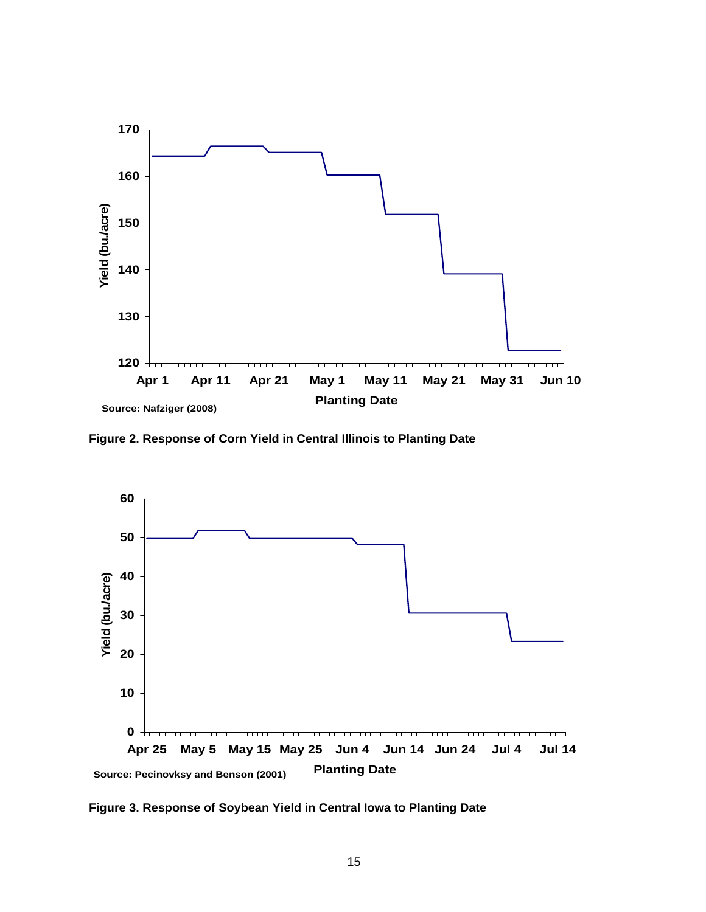

**Figure 2. Response of Corn Yield in Central Illinois to Planting Date**



**Figure 3. Response of Soybean Yield in Central Iowa to Planting Date**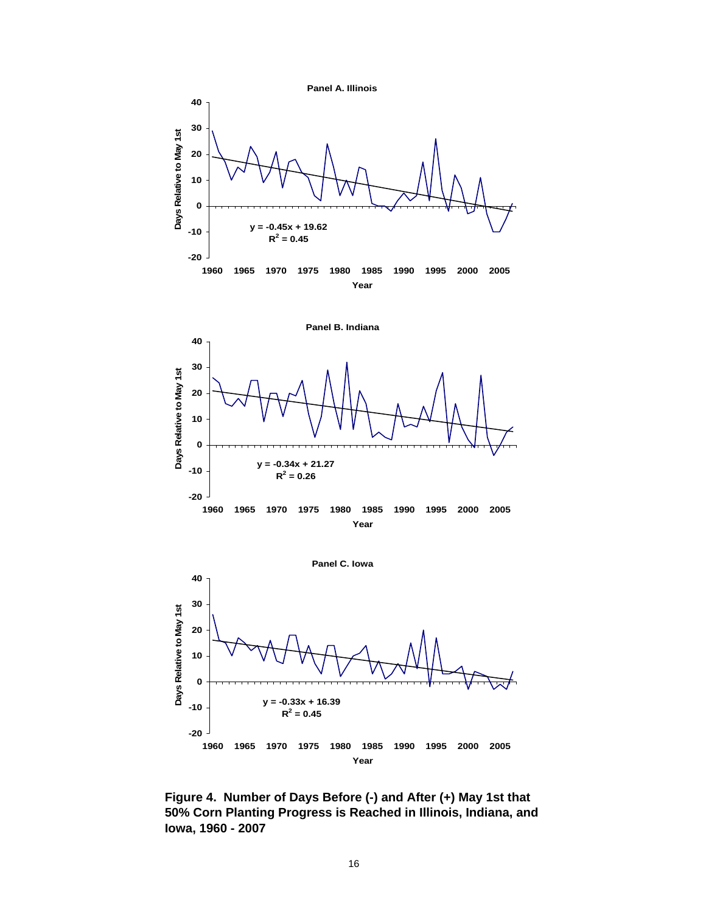





**Figure 4. Number of Days Before (-) and After (+) May 1st that 50% Corn Planting Progress is Reached in Illinois, Indiana, and Iowa, 1960 - 2007**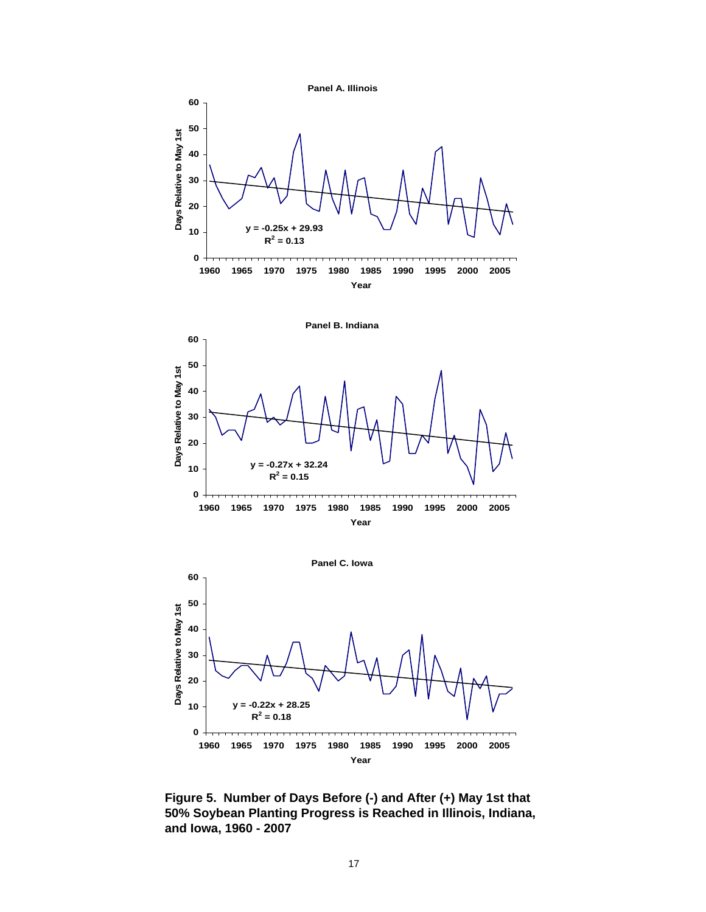





**Figure 5. Number of Days Before (-) and After (+) May 1st that 50% Soybean Planting Progress is Reached in Illinois, Indiana, and Iowa, 1960 - 2007**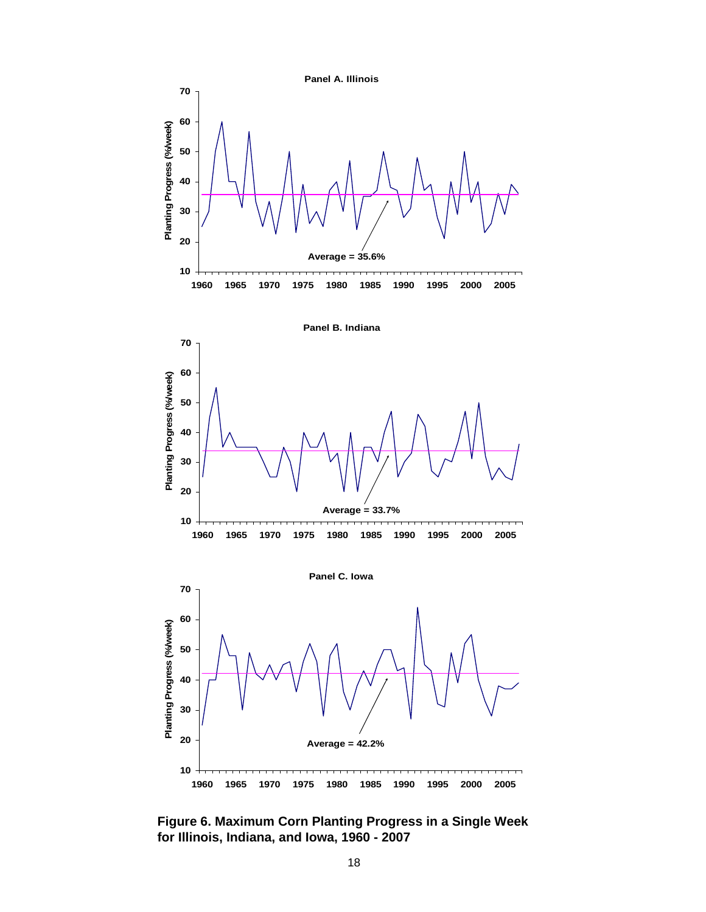

**Figure 6. Maximum Corn Planting Progress in a Single Week for Illinois, Indiana, and Iowa, 1960 - 2007**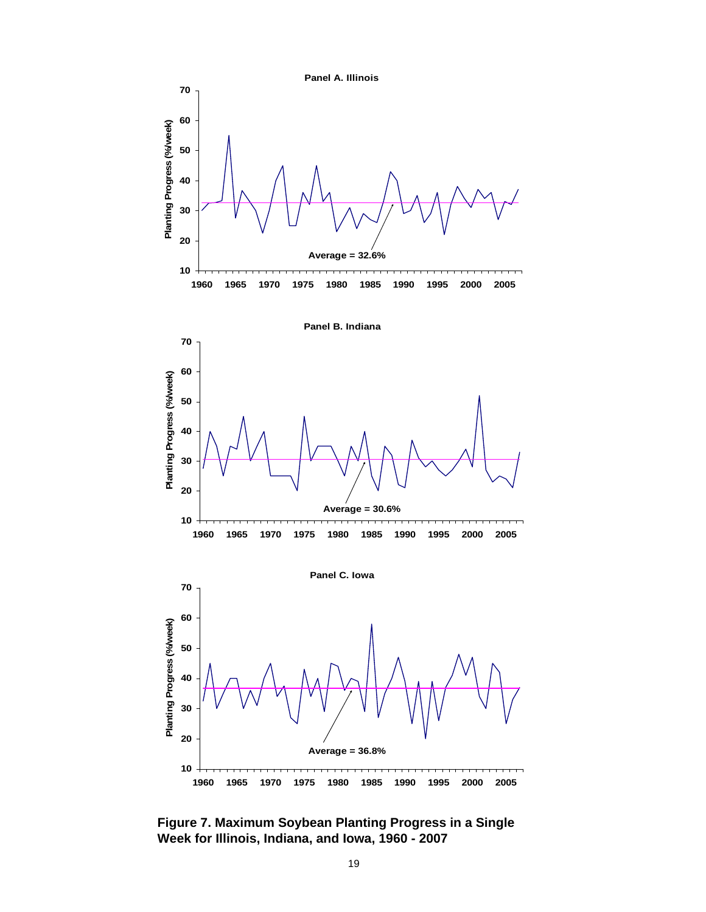

**Figure 7. Maximum Soybean Planting Progress in a Single Week for Illinois, Indiana, and Iowa, 1960 - 2007**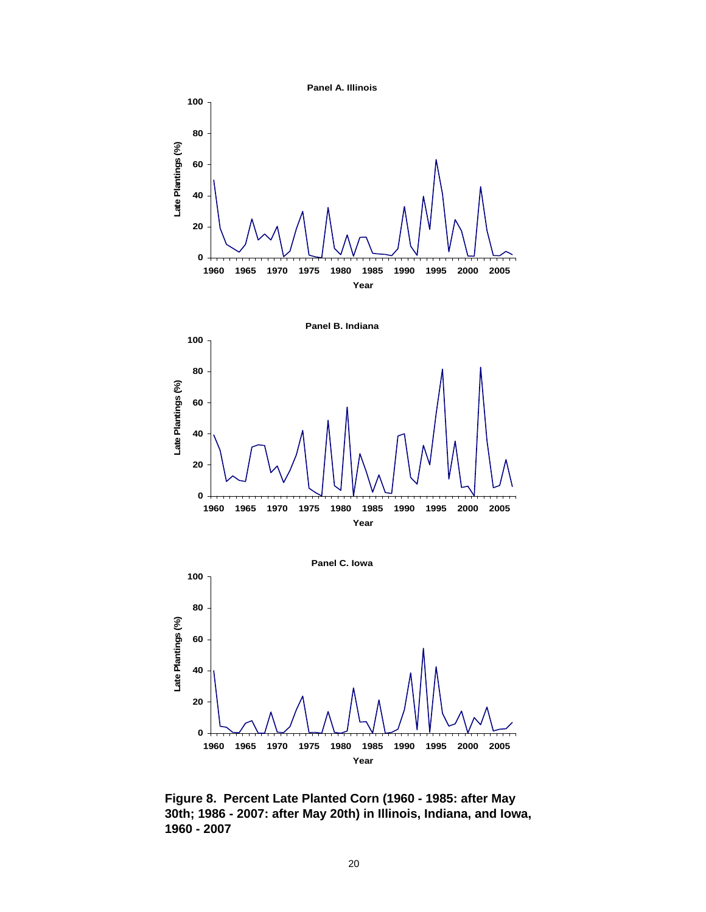





**Figure 8. Percent Late Planted Corn (1960 - 1985: after May 30th; 1986 - 2007: after May 20th) in Illinois, Indiana, and Iowa, 1960 - 2007**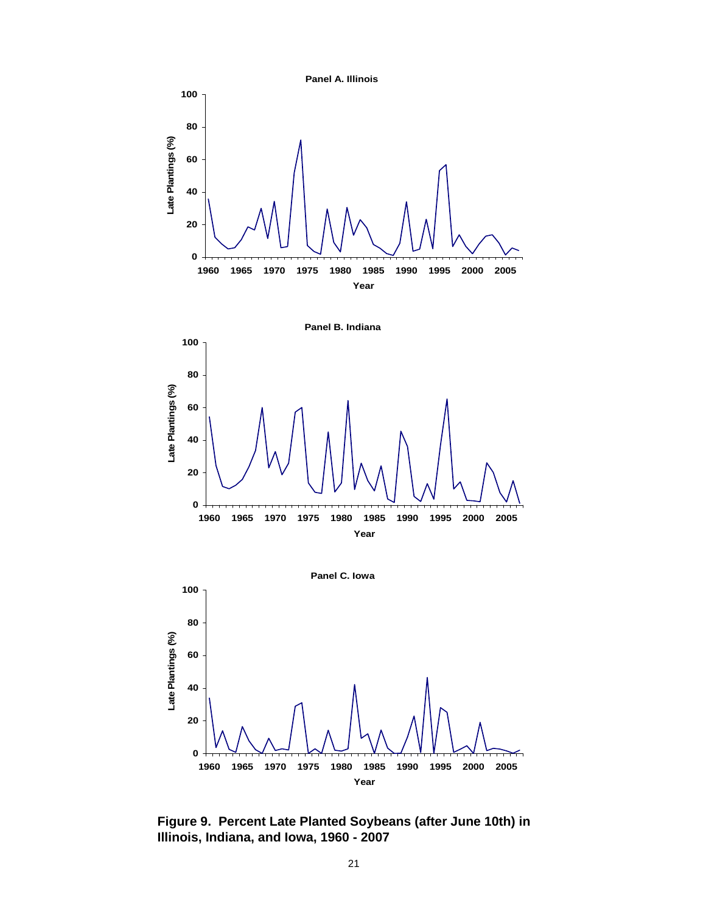

**Figure 9. Percent Late Planted Soybeans (after June 10th) in Illinois, Indiana, and Iowa, 1960 - 2007**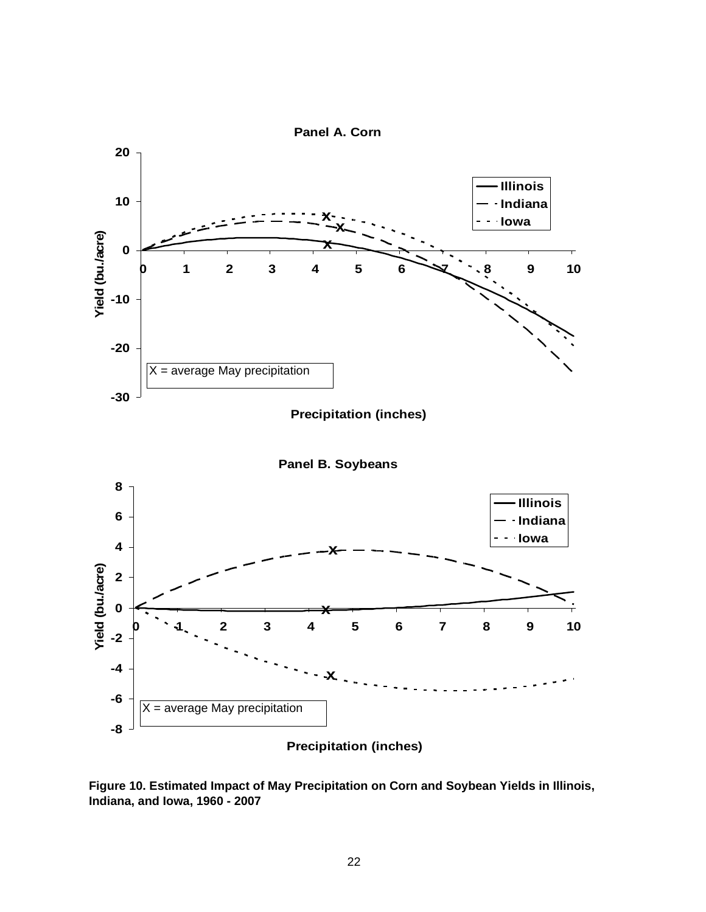

**Panel B. Soybeans**



**Figure 10. Estimated Impact of May Precipitation on Corn and Soybean Yields in Illinois, Indiana, and Iowa, 1960 - 2007**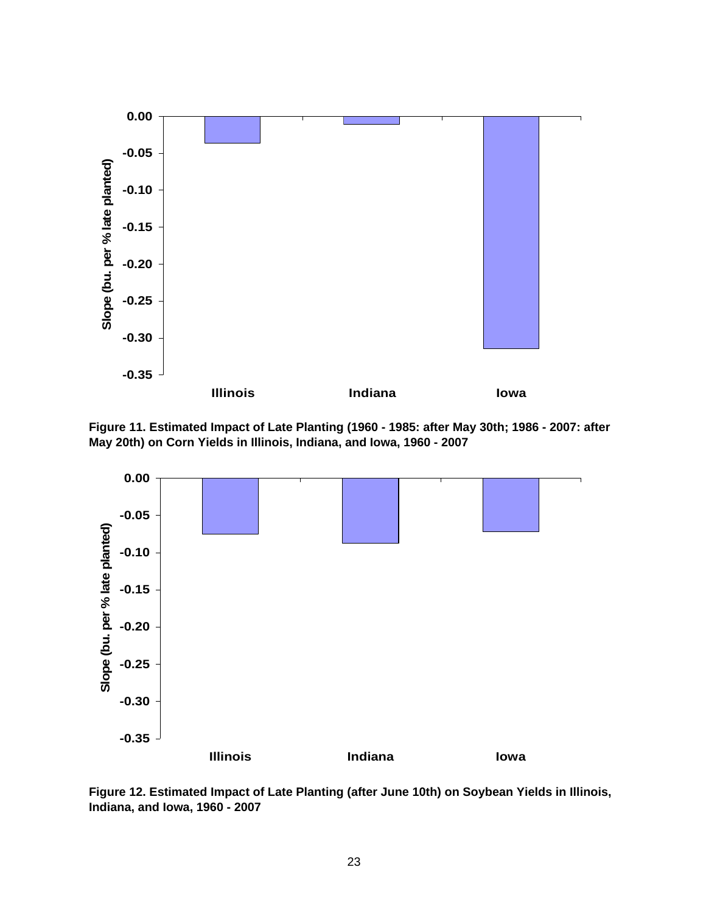

**Figure 11. Estimated Impact of Late Planting (1960 - 1985: after May 30th; 1986 - 2007: after May 20th) on Corn Yields in Illinois, Indiana, and Iowa, 1960 - 2007**



**Figure 12. Estimated Impact of Late Planting (after June 10th) on Soybean Yields in Illinois, Indiana, and Iowa, 1960 - 2007**